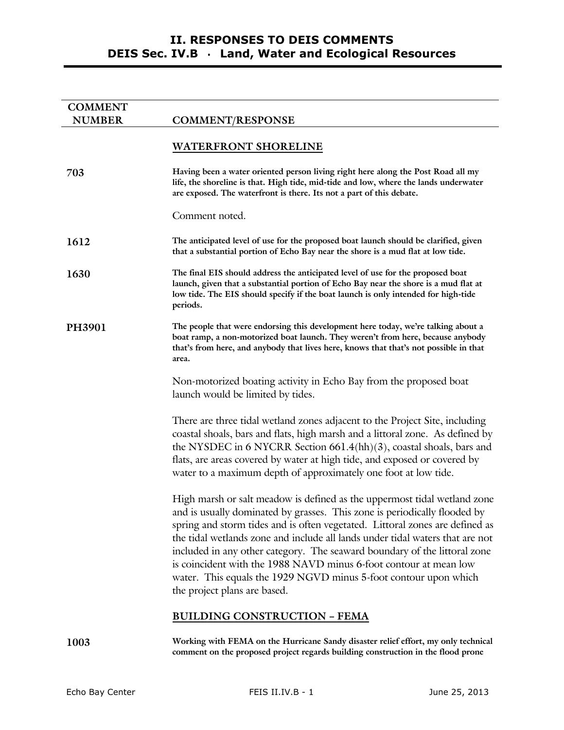| <b>COMMENT</b> |                                                                                                                                                                                                                                                                                                                                                                                                                                                                                                                                                                              |
|----------------|------------------------------------------------------------------------------------------------------------------------------------------------------------------------------------------------------------------------------------------------------------------------------------------------------------------------------------------------------------------------------------------------------------------------------------------------------------------------------------------------------------------------------------------------------------------------------|
| <b>NUMBER</b>  | <b>COMMENT/RESPONSE</b>                                                                                                                                                                                                                                                                                                                                                                                                                                                                                                                                                      |
|                | <b>WATERFRONT SHORELINE</b>                                                                                                                                                                                                                                                                                                                                                                                                                                                                                                                                                  |
| 703            | Having been a water oriented person living right here along the Post Road all my<br>life, the shoreline is that. High tide, mid-tide and low, where the lands underwater<br>are exposed. The waterfront is there. Its not a part of this debate.                                                                                                                                                                                                                                                                                                                             |
|                | Comment noted.                                                                                                                                                                                                                                                                                                                                                                                                                                                                                                                                                               |
| 1612           | The anticipated level of use for the proposed boat launch should be clarified, given<br>that a substantial portion of Echo Bay near the shore is a mud flat at low tide.                                                                                                                                                                                                                                                                                                                                                                                                     |
| 1630           | The final EIS should address the anticipated level of use for the proposed boat<br>launch, given that a substantial portion of Echo Bay near the shore is a mud flat at<br>low tide. The EIS should specify if the boat launch is only intended for high-tide<br>periods.                                                                                                                                                                                                                                                                                                    |
| <b>PH3901</b>  | The people that were endorsing this development here today, we're talking about a<br>boat ramp, a non-motorized boat launch. They weren't from here, because anybody<br>that's from here, and anybody that lives here, knows that that's not possible in that<br>area.                                                                                                                                                                                                                                                                                                       |
|                | Non-motorized boating activity in Echo Bay from the proposed boat<br>launch would be limited by tides.                                                                                                                                                                                                                                                                                                                                                                                                                                                                       |
|                | There are three tidal wetland zones adjacent to the Project Site, including<br>coastal shoals, bars and flats, high marsh and a littoral zone. As defined by<br>the NYSDEC in 6 NYCRR Section 661.4(hh)(3), coastal shoals, bars and<br>flats, are areas covered by water at high tide, and exposed or covered by<br>water to a maximum depth of approximately one foot at low tide.                                                                                                                                                                                         |
|                | High marsh or salt meadow is defined as the uppermost tidal wetland zone<br>and is usually dominated by grasses. This zone is periodically flooded by<br>spring and storm tides and is often vegetated. Littoral zones are defined as<br>the tidal wetlands zone and include all lands under tidal waters that are not<br>included in any other category. The seaward boundary of the littoral zone<br>is coincident with the 1988 NAVD minus 6-foot contour at mean low<br>water. This equals the 1929 NGVD minus 5-foot contour upon which<br>the project plans are based. |
|                | <b>BUILDING CONSTRUCTION - FEMA</b>                                                                                                                                                                                                                                                                                                                                                                                                                                                                                                                                          |
| 1003           | Working with FEMA on the Hurricane Sandy disaster relief effort, my only technical                                                                                                                                                                                                                                                                                                                                                                                                                                                                                           |

**comment on the proposed project regards building construction in the flood prone**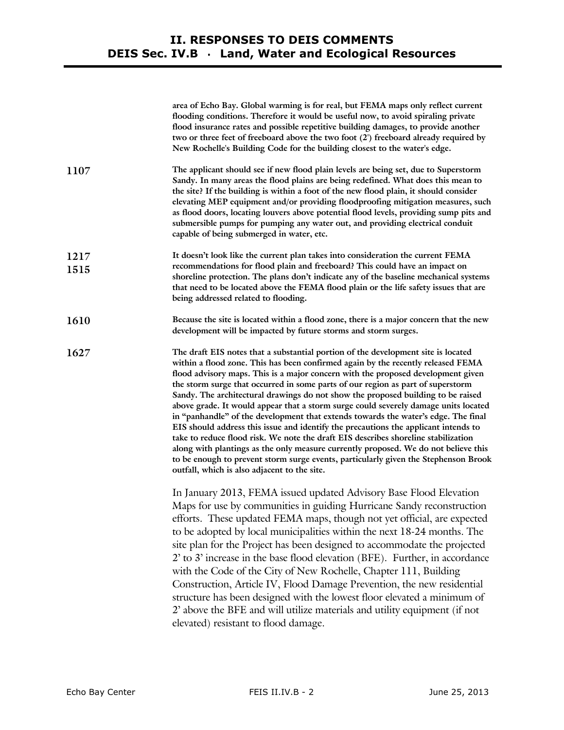|              | area of Echo Bay. Global warming is for real, but FEMA maps only reflect current<br>flooding conditions. Therefore it would be useful now, to avoid spiraling private<br>flood insurance rates and possible repetitive building damages, to provide another<br>two or three feet of freeboard above the two foot (2') freeboard already required by<br>New Rochelle's Building Code for the building closest to the water's edge.                                                                                                                                                                                                                                                                                                                                                                                                                                                                                                                                                                                        |
|--------------|--------------------------------------------------------------------------------------------------------------------------------------------------------------------------------------------------------------------------------------------------------------------------------------------------------------------------------------------------------------------------------------------------------------------------------------------------------------------------------------------------------------------------------------------------------------------------------------------------------------------------------------------------------------------------------------------------------------------------------------------------------------------------------------------------------------------------------------------------------------------------------------------------------------------------------------------------------------------------------------------------------------------------|
| 1107         | The applicant should see if new flood plain levels are being set, due to Superstorm<br>Sandy. In many areas the flood plains are being redefined. What does this mean to<br>the site? If the building is within a foot of the new flood plain, it should consider<br>elevating MEP equipment and/or providing floodproofing mitigation measures, such<br>as flood doors, locating louvers above potential flood levels, providing sump pits and<br>submersible pumps for pumping any water out, and providing electrical conduit<br>capable of being submerged in water, etc.                                                                                                                                                                                                                                                                                                                                                                                                                                            |
| 1217<br>1515 | It doesn't look like the current plan takes into consideration the current FEMA<br>recommendations for flood plain and freeboard? This could have an impact on<br>shoreline protection. The plans don't indicate any of the baseline mechanical systems<br>that need to be located above the FEMA flood plain or the life safety issues that are<br>being addressed related to flooding.                                                                                                                                                                                                                                                                                                                                                                                                                                                                                                                                                                                                                                 |
| 1610         | Because the site is located within a flood zone, there is a major concern that the new<br>development will be impacted by future storms and storm surges.                                                                                                                                                                                                                                                                                                                                                                                                                                                                                                                                                                                                                                                                                                                                                                                                                                                                |
| 1627         | The draft EIS notes that a substantial portion of the development site is located<br>within a flood zone. This has been confirmed again by the recently released FEMA<br>flood advisory maps. This is a major concern with the proposed development given<br>the storm surge that occurred in some parts of our region as part of superstorm<br>Sandy. The architectural drawings do not show the proposed building to be raised<br>above grade. It would appear that a storm surge could severely damage units located<br>in "panhandle" of the development that extends towards the water's edge. The final<br>EIS should address this issue and identify the precautions the applicant intends to<br>take to reduce flood risk. We note the draft EIS describes shoreline stabilization<br>along with plantings as the only measure currently proposed. We do not believe this<br>to be enough to prevent storm surge events, particularly given the Stephenson Brook<br>outfall, which is also adjacent to the site. |
|              | In January 2013, FEMA issued updated Advisory Base Flood Elevation<br>Maps for use by communities in guiding Hurricane Sandy reconstruction<br>efforts. These updated FEMA maps, though not yet official, are expected<br>to be adopted by local municipalities within the next 18-24 months. The<br>site plan for the Project has been designed to accommodate the projected<br>2' to 3' increase in the base flood elevation (BFE). Further, in accordance<br>with the Code of the City of New Rochelle, Chapter 111, Building<br>Construction, Article IV, Flood Damage Prevention, the new residential<br>structure has been designed with the lowest floor elevated a minimum of<br>2' above the BFE and will utilize materials and utility equipment (if not<br>elevated) resistant to flood damage.                                                                                                                                                                                                               |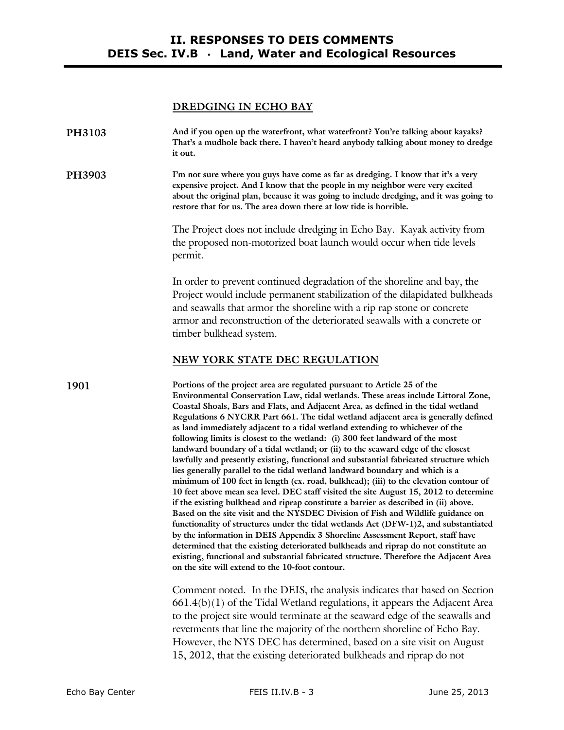#### **DREDGING IN ECHO BAY**

| PH3103 | And if you open up the waterfront, what waterfront? You're talking about kayaks?   |
|--------|------------------------------------------------------------------------------------|
|        | That's a mudhole back there. I haven't heard anybody talking about money to dredge |
|        | it out.                                                                            |

**PH3903 I'm not sure where you guys have come as far as dredging. I know that it's a very expensive project. And I know that the people in my neighbor were very excited about the original plan, because it was going to include dredging, and it was going to restore that for us. The area down there at low tide is horrible.** 

> The Project does not include dredging in Echo Bay. Kayak activity from the proposed non-motorized boat launch would occur when tide levels permit.

In order to prevent continued degradation of the shoreline and bay, the Project would include permanent stabilization of the dilapidated bulkheads and seawalls that armor the shoreline with a rip rap stone or concrete armor and reconstruction of the deteriorated seawalls with a concrete or timber bulkhead system.

#### **NEW YORK STATE DEC REGULATION**

**1901 Portions of the project area are regulated pursuant to Article 25 of the Environmental Conservation Law, tidal wetlands. These areas include Littoral Zone, Coastal Shoals, Bars and Flats, and Adjacent Area, as defined in the tidal wetland Regulations 6 NYCRR Part 661. The tidal wetland adjacent area is generally defined as land immediately adjacent to a tidal wetland extending to whichever of the following limits is closest to the wetland: (i) 300 feet landward of the most landward boundary of a tidal wetland; or (ii) to the seaward edge of the closest lawfully and presently existing, functional and substantial fabricated structure which lies generally parallel to the tidal wetland landward boundary and which is a minimum of 100 feet in length (ex. road, bulkhead); (iii) to the elevation contour of 10 feet above mean sea level. DEC staff visited the site August 15, 2012 to determine if the existing bulkhead and riprap constitute a barrier as described in (ii) above. Based on the site visit and the NYSDEC Division of Fish and Wildlife guidance on functionality of structures under the tidal wetlands Act (DFW-1)2, and substantiated by the information in DEIS Appendix 3 Shoreline Assessment Report, staff have determined that the existing deteriorated bulkheads and riprap do not constitute an existing, functional and substantial fabricated structure. Therefore the Adjacent Area on the site will extend to the 10-foot contour.** 

> Comment noted. In the DEIS, the analysis indicates that based on Section  $661.4(b)(1)$  of the Tidal Wetland regulations, it appears the Adjacent Area to the project site would terminate at the seaward edge of the seawalls and revetments that line the majority of the northern shoreline of Echo Bay. However, the NYS DEC has determined, based on a site visit on August 15, 2012, that the existing deteriorated bulkheads and riprap do not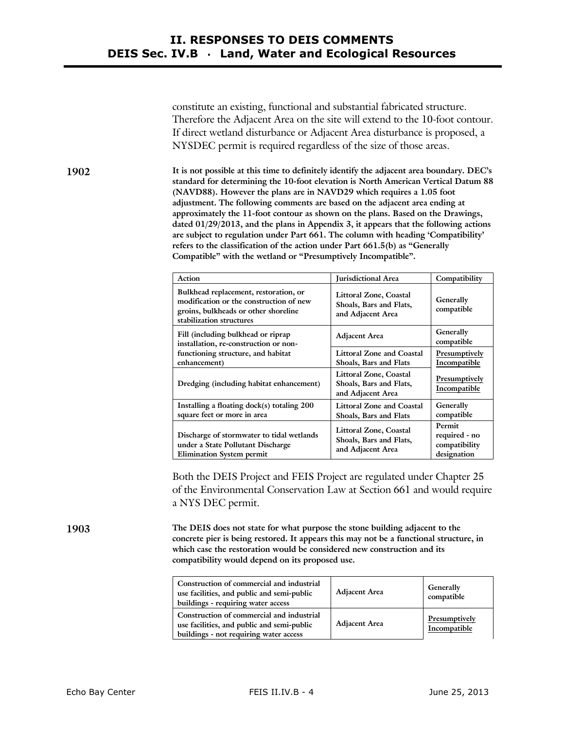constitute an existing, functional and substantial fabricated structure. Therefore the Adjacent Area on the site will extend to the 10-foot contour. If direct wetland disturbance or Adjacent Area disturbance is proposed, a NYSDEC permit is required regardless of the size of those areas.

**1902 It is not possible at this time to definitely identify the adjacent area boundary. DEC's standard for determining the 10-foot elevation is North American Vertical Datum 88 (NAVD88). However the plans are in NAVD29 which requires a 1.05 foot adjustment. The following comments are based on the adjacent area ending at approximately the 11-foot contour as shown on the plans. Based on the Drawings, dated 01/29/2013, and the plans in Appendix 3, it appears that the following actions are subject to regulation under Part 661. The column with heading 'Compatibility' refers to the classification of the action under Part 661.5(b) as "Generally Compatible" with the wetland or "Presumptively Incompatible".** 

| Action                                                                                                                                               | <b>Jurisdictional Area</b>                                             | Compatibility                                           |
|------------------------------------------------------------------------------------------------------------------------------------------------------|------------------------------------------------------------------------|---------------------------------------------------------|
| Bulkhead replacement, restoration, or<br>modification or the construction of new<br>groins, bulkheads or other shoreline<br>stabilization structures | Littoral Zone, Coastal<br>Shoals, Bars and Flats,<br>and Adjacent Area | Generally<br>compatible                                 |
| Fill (including bulkhead or riprap<br>installation, re-construction or non-                                                                          | <b>Adjacent Area</b>                                                   | Generally<br>compatible                                 |
| functioning structure, and habitat<br>enhancement)                                                                                                   | <b>Littoral Zone and Coastal</b><br>Shoals, Bars and Flats             | Presumptively<br>Incompatible                           |
| Dredging (including habitat enhancement)                                                                                                             | Littoral Zone, Coastal<br>Shoals, Bars and Flats,<br>and Adjacent Area | Presumptively<br>Incompatible                           |
| Installing a floating dock(s) totaling 200<br>square feet or more in area                                                                            | Littoral Zone and Coastal<br><b>Shoals, Bars and Flats</b>             | Generally<br>compatible                                 |
| Discharge of stormwater to tidal wetlands<br>under a State Pollutant Discharge<br><b>Elimination System permit</b>                                   | Littoral Zone, Coastal<br>Shoals, Bars and Flats,<br>and Adjacent Area | Permit<br>required - no<br>compatibility<br>designation |

Both the DEIS Project and FEIS Project are regulated under Chapter 25 of the Environmental Conservation Law at Section 661 and would require a NYS DEC permit.

**1903 The DEIS does not state for what purpose the stone building adjacent to the concrete pier is being restored. It appears this may not be a functional structure, in which case the restoration would be considered new construction and its compatibility would depend on its proposed use.** 

| Construction of commercial and industrial<br>use facilities, and public and semi-public<br>buildings - requiring water access     | <b>Adjacent Area</b> | Generally<br>compatible       |
|-----------------------------------------------------------------------------------------------------------------------------------|----------------------|-------------------------------|
| Construction of commercial and industrial<br>use facilities, and public and semi-public<br>buildings - not requiring water access | <b>Adjacent Area</b> | Presumptively<br>Incompatible |

Echo Bay Center **FEIS II.IV.B - 4** June 25, 2013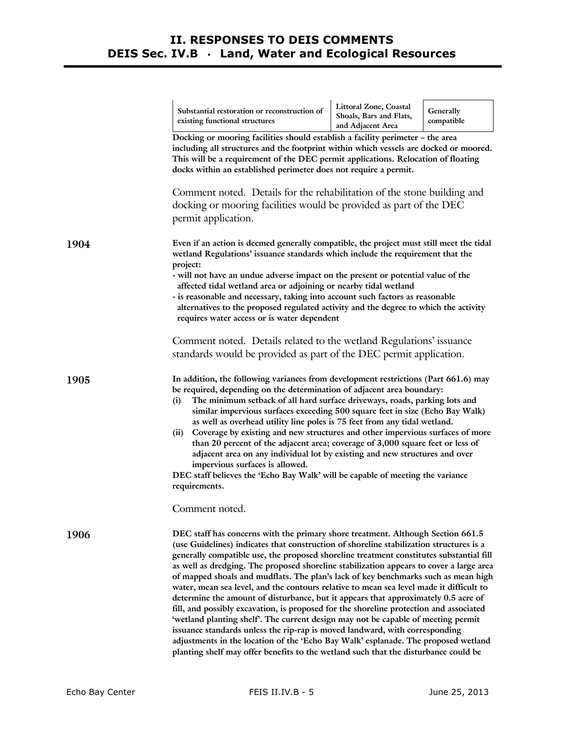|      | Littoral Zone, Coastal<br>Substantial restoration or reconstruction of<br>Generally                                                                                                                                                                                                                                                                                                                                                                                                                                                                                                                                                                                                                                                                                                                                                                                                                                                                                                                                                                                                |
|------|------------------------------------------------------------------------------------------------------------------------------------------------------------------------------------------------------------------------------------------------------------------------------------------------------------------------------------------------------------------------------------------------------------------------------------------------------------------------------------------------------------------------------------------------------------------------------------------------------------------------------------------------------------------------------------------------------------------------------------------------------------------------------------------------------------------------------------------------------------------------------------------------------------------------------------------------------------------------------------------------------------------------------------------------------------------------------------|
|      | Shoals, Bars and Flats,<br>existing functional structures<br>compatible<br>and Adjacent Area                                                                                                                                                                                                                                                                                                                                                                                                                                                                                                                                                                                                                                                                                                                                                                                                                                                                                                                                                                                       |
|      | Docking or mooring facilities should establish a facility perimeter - the area<br>including all structures and the footprint within which vessels are docked or moored.<br>This will be a requirement of the DEC permit applications. Relocation of floating<br>docks within an established perimeter does not require a permit.                                                                                                                                                                                                                                                                                                                                                                                                                                                                                                                                                                                                                                                                                                                                                   |
|      | Comment noted. Details for the rehabilitation of the stone building and<br>docking or mooring facilities would be provided as part of the DEC<br>permit application.                                                                                                                                                                                                                                                                                                                                                                                                                                                                                                                                                                                                                                                                                                                                                                                                                                                                                                               |
| 1904 | Even if an action is deemed generally compatible, the project must still meet the tidal<br>wetland Regulations' issuance standards which include the requirement that the<br>project:<br>- will not have an undue adverse impact on the present or potential value of the<br>affected tidal wetland area or adjoining or nearby tidal wetland<br>- is reasonable and necessary, taking into account such factors as reasonable<br>alternatives to the proposed regulated activity and the degree to which the activity<br>requires water access or is water dependent                                                                                                                                                                                                                                                                                                                                                                                                                                                                                                              |
|      | Comment noted. Details related to the wetland Regulations' issuance<br>standards would be provided as part of the DEC permit application.                                                                                                                                                                                                                                                                                                                                                                                                                                                                                                                                                                                                                                                                                                                                                                                                                                                                                                                                          |
| 1905 | In addition, the following variances from development restrictions (Part 661.6) may<br>be required, depending on the determination of adjacent area boundary:<br>The minimum setback of all hard surface driveways, roads, parking lots and<br>(i)<br>similar impervious surfaces exceeding 500 square feet in size (Echo Bay Walk)<br>as well as overhead utility line poles is 75 feet from any tidal wetland.<br>Coverage by existing and new structures and other impervious surfaces of more<br>(ii)<br>than 20 percent of the adjacent area; coverage of 3,000 square feet or less of<br>adjacent area on any individual lot by existing and new structures and over<br>impervious surfaces is allowed.<br>DEC staff believes the 'Echo Bay Walk' will be capable of meeting the variance<br>requirements.                                                                                                                                                                                                                                                                   |
|      | Comment noted.                                                                                                                                                                                                                                                                                                                                                                                                                                                                                                                                                                                                                                                                                                                                                                                                                                                                                                                                                                                                                                                                     |
| 1906 | DEC staff has concerns with the primary shore treatment. Although Section 661.5<br>(use Guidelines) indicates that construction of shoreline stabilization structures is a<br>generally compatible use, the proposed shoreline treatment constitutes substantial fill<br>as well as dredging. The proposed shoreline stabilization appears to cover a large area<br>of mapped shoals and mudflats. The plan's lack of key benchmarks such as mean high<br>water, mean sea level, and the contours relative to mean sea level made it difficult to<br>determine the amount of disturbance, but it appears that approximately 0.5 acre of<br>fill, and possibly excavation, is proposed for the shoreline protection and associated<br>'wetland planting shelf'. The current design may not be capable of meeting permit<br>issuance standards unless the rip-rap is moved landward, with corresponding<br>adjustments in the location of the 'Echo Bay Walk' esplanade. The proposed wetland<br>planting shelf may offer benefits to the wetland such that the disturbance could be |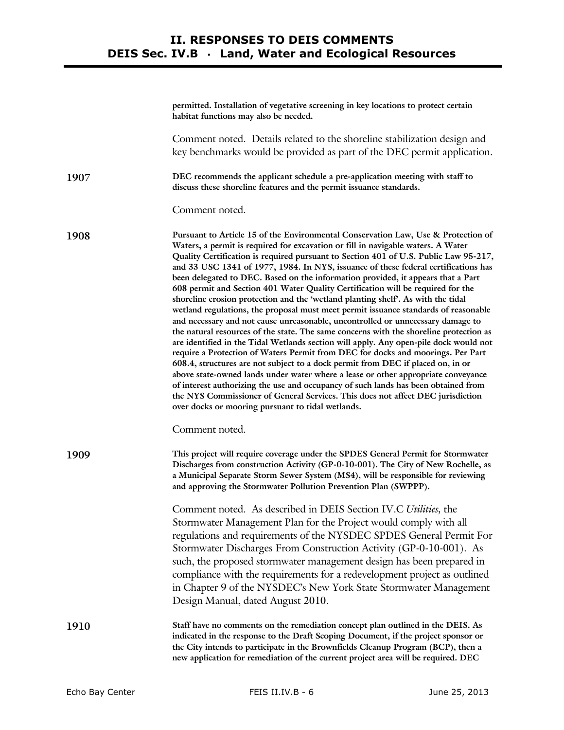|      | permitted. Installation of vegetative screening in key locations to protect certain<br>habitat functions may also be needed.                                                                                                                                                                                                                                                                                                                                                                                                                                                                                                                                                                                                                                                                                                                                                                                                                                                                                                                                                                                                                                                                                                                                                                                                                                                                                                                                          |
|------|-----------------------------------------------------------------------------------------------------------------------------------------------------------------------------------------------------------------------------------------------------------------------------------------------------------------------------------------------------------------------------------------------------------------------------------------------------------------------------------------------------------------------------------------------------------------------------------------------------------------------------------------------------------------------------------------------------------------------------------------------------------------------------------------------------------------------------------------------------------------------------------------------------------------------------------------------------------------------------------------------------------------------------------------------------------------------------------------------------------------------------------------------------------------------------------------------------------------------------------------------------------------------------------------------------------------------------------------------------------------------------------------------------------------------------------------------------------------------|
|      | Comment noted. Details related to the shoreline stabilization design and<br>key benchmarks would be provided as part of the DEC permit application.                                                                                                                                                                                                                                                                                                                                                                                                                                                                                                                                                                                                                                                                                                                                                                                                                                                                                                                                                                                                                                                                                                                                                                                                                                                                                                                   |
| 1907 | DEC recommends the applicant schedule a pre-application meeting with staff to<br>discuss these shoreline features and the permit issuance standards.                                                                                                                                                                                                                                                                                                                                                                                                                                                                                                                                                                                                                                                                                                                                                                                                                                                                                                                                                                                                                                                                                                                                                                                                                                                                                                                  |
|      | Comment noted.                                                                                                                                                                                                                                                                                                                                                                                                                                                                                                                                                                                                                                                                                                                                                                                                                                                                                                                                                                                                                                                                                                                                                                                                                                                                                                                                                                                                                                                        |
| 1908 | Pursuant to Article 15 of the Environmental Conservation Law, Use & Protection of<br>Waters, a permit is required for excavation or fill in navigable waters. A Water<br>Quality Certification is required pursuant to Section 401 of U.S. Public Law 95-217,<br>and 33 USC 1341 of 1977, 1984. In NYS, issuance of these federal certifications has<br>been delegated to DEC. Based on the information provided, it appears that a Part<br>608 permit and Section 401 Water Quality Certification will be required for the<br>shoreline erosion protection and the 'wetland planting shelf'. As with the tidal<br>wetland regulations, the proposal must meet permit issuance standards of reasonable<br>and necessary and not cause unreasonable, uncontrolled or unnecessary damage to<br>the natural resources of the state. The same concerns with the shoreline protection as<br>are identified in the Tidal Wetlands section will apply. Any open-pile dock would not<br>require a Protection of Waters Permit from DEC for docks and moorings. Per Part<br>608.4, structures are not subject to a dock permit from DEC if placed on, in or<br>above state-owned lands under water where a lease or other appropriate conveyance<br>of interest authorizing the use and occupancy of such lands has been obtained from<br>the NYS Commissioner of General Services. This does not affect DEC jurisdiction<br>over docks or mooring pursuant to tidal wetlands. |
|      | Comment noted.                                                                                                                                                                                                                                                                                                                                                                                                                                                                                                                                                                                                                                                                                                                                                                                                                                                                                                                                                                                                                                                                                                                                                                                                                                                                                                                                                                                                                                                        |
| 1909 | This project will require coverage under the SPDES General Permit for Stormwater<br>Discharges from construction Activity (GP-0-10-001). The City of New Rochelle, as<br>a Municipal Separate Storm Sewer System (MS4), will be responsible for reviewing<br>and approving the Stormwater Pollution Prevention Plan (SWPPP).                                                                                                                                                                                                                                                                                                                                                                                                                                                                                                                                                                                                                                                                                                                                                                                                                                                                                                                                                                                                                                                                                                                                          |
|      | Comment noted. As described in DEIS Section IV.C Utilities, the<br>Stormwater Management Plan for the Project would comply with all<br>regulations and requirements of the NYSDEC SPDES General Permit For<br>Stormwater Discharges From Construction Activity (GP-0-10-001). As<br>such, the proposed stormwater management design has been prepared in<br>compliance with the requirements for a redevelopment project as outlined<br>in Chapter 9 of the NYSDEC's New York State Stormwater Management<br>Design Manual, dated August 2010.                                                                                                                                                                                                                                                                                                                                                                                                                                                                                                                                                                                                                                                                                                                                                                                                                                                                                                                        |
| 1910 | Staff have no comments on the remediation concept plan outlined in the DEIS. As<br>indicated in the response to the Draft Scoping Document, if the project sponsor or<br>the City intends to participate in the Brownfields Cleanup Program (BCP), then a<br>new application for remediation of the current project area will be required. DEC                                                                                                                                                                                                                                                                                                                                                                                                                                                                                                                                                                                                                                                                                                                                                                                                                                                                                                                                                                                                                                                                                                                        |
|      |                                                                                                                                                                                                                                                                                                                                                                                                                                                                                                                                                                                                                                                                                                                                                                                                                                                                                                                                                                                                                                                                                                                                                                                                                                                                                                                                                                                                                                                                       |